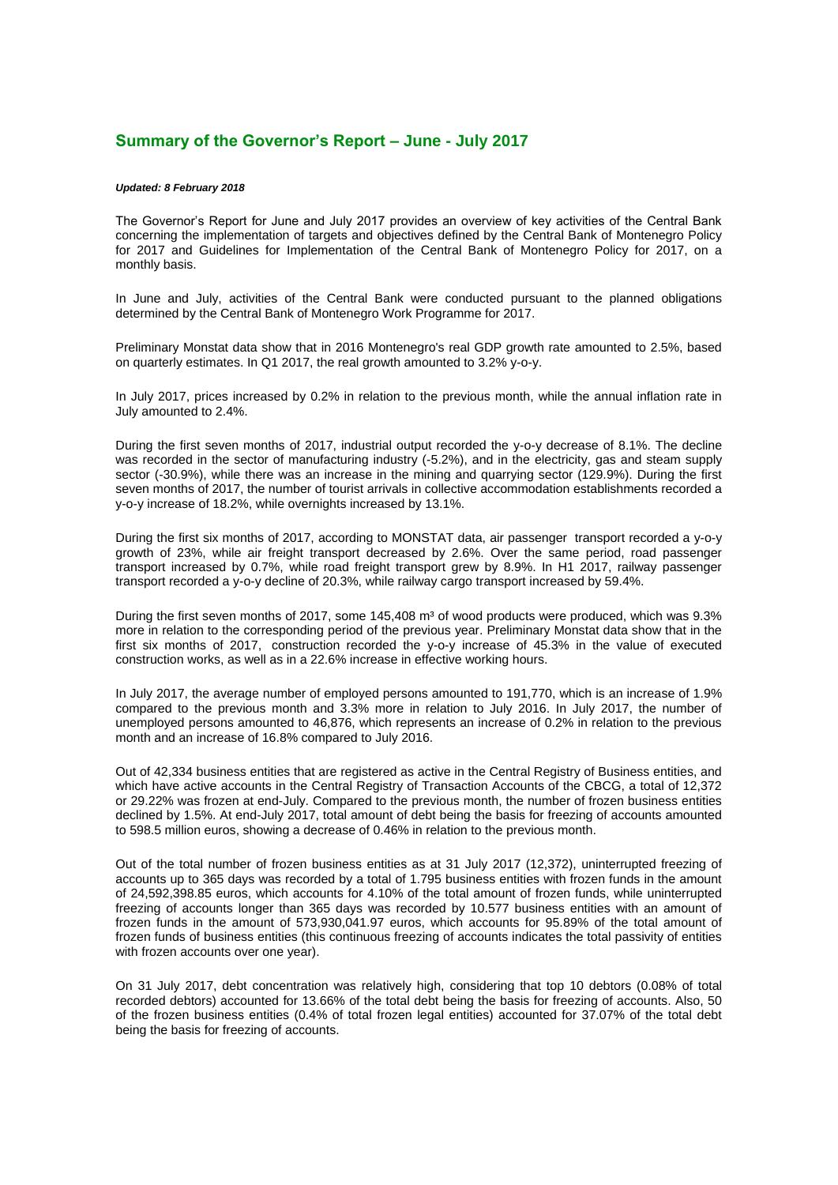## **Summary of the Governor's Report – June - July 2017**

## *Updated: 8 February 2018*

The Governor's Report for June and July 2017 provides an overview of key activities of the Central Bank concerning the implementation of targets and objectives defined by the Central Bank of Montenegro Policy for 2017 and Guidelines for Implementation of the Central Bank of Montenegro Policy for 2017, on a monthly basis.

In June and July, activities of the Central Bank were conducted pursuant to the planned obligations determined by the Central Bank of Montenegro Work Programme for 2017.

Preliminary Monstat data show that in 2016 Montenegro's real GDP growth rate amounted to 2.5%, based on quarterly estimates. In Q1 2017, the real growth amounted to 3.2% y-o-y.

In July 2017, prices increased by 0.2% in relation to the previous month, while the annual inflation rate in July amounted to 2.4%.

During the first seven months of 2017, industrial output recorded the y-o-y decrease of 8.1%. The decline was recorded in the sector of manufacturing industry (-5.2%), and in the electricity, gas and steam supply sector (-30.9%), while there was an increase in the mining and quarrying sector (129.9%). During the first seven months of 2017, the number of tourist arrivals in collective accommodation establishments recorded a y-o-y increase of 18.2%, while overnights increased by 13.1%.

During the first six months of 2017, according to MONSTAT data, air passenger transport recorded a y-o-y growth of 23%, while air freight transport decreased by 2.6%. Over the same period, road passenger transport increased by 0.7%, while road freight transport grew by 8.9%. In H1 2017, railway passenger transport recorded a y-o-y decline of 20.3%, while railway cargo transport increased by 59.4%.

During the first seven months of 2017, some 145,408 m<sup>3</sup> of wood products were produced, which was 9.3% more in relation to the corresponding period of the previous year. Preliminary Monstat data show that in the first six months of 2017, construction recorded the y-o-y increase of 45.3% in the value of executed construction works, as well as in a 22.6% increase in effective working hours.

In July 2017, the average number of employed persons amounted to 191,770, which is an increase of 1.9% compared to the previous month and 3.3% more in relation to July 2016. In July 2017, the number of unemployed persons amounted to 46,876, which represents an increase of 0.2% in relation to the previous month and an increase of 16.8% compared to July 2016.

Out of 42,334 business entities that are registered as active in the Central Registry of Business entities, and which have active accounts in the Central Registry of Transaction Accounts of the CBCG, a total of 12,372 or 29.22% was frozen at end-July. Compared to the previous month, the number of frozen business entities declined by 1.5%. At end-July 2017, total amount of debt being the basis for freezing of accounts amounted to 598.5 million euros, showing a decrease of 0.46% in relation to the previous month.

Out of the total number of frozen business entities as at 31 July 2017 (12,372), uninterrupted freezing of accounts up to 365 days was recorded by a total of 1.795 business entities with frozen funds in the amount of 24,592,398.85 euros, which accounts for 4.10% of the total amount of frozen funds, while uninterrupted freezing of accounts longer than 365 days was recorded by 10.577 business entities with an amount of frozen funds in the amount of 573,930,041.97 euros, which accounts for 95.89% of the total amount of frozen funds of business entities (this continuous freezing of accounts indicates the total passivity of entities with frozen accounts over one year).

On 31 July 2017, debt concentration was relatively high, considering that top 10 debtors (0.08% of total recorded debtors) accounted for 13.66% of the total debt being the basis for freezing of accounts. Also, 50 of the frozen business entities (0.4% of total frozen legal entities) accounted for 37.07% of the total debt being the basis for freezing of accounts.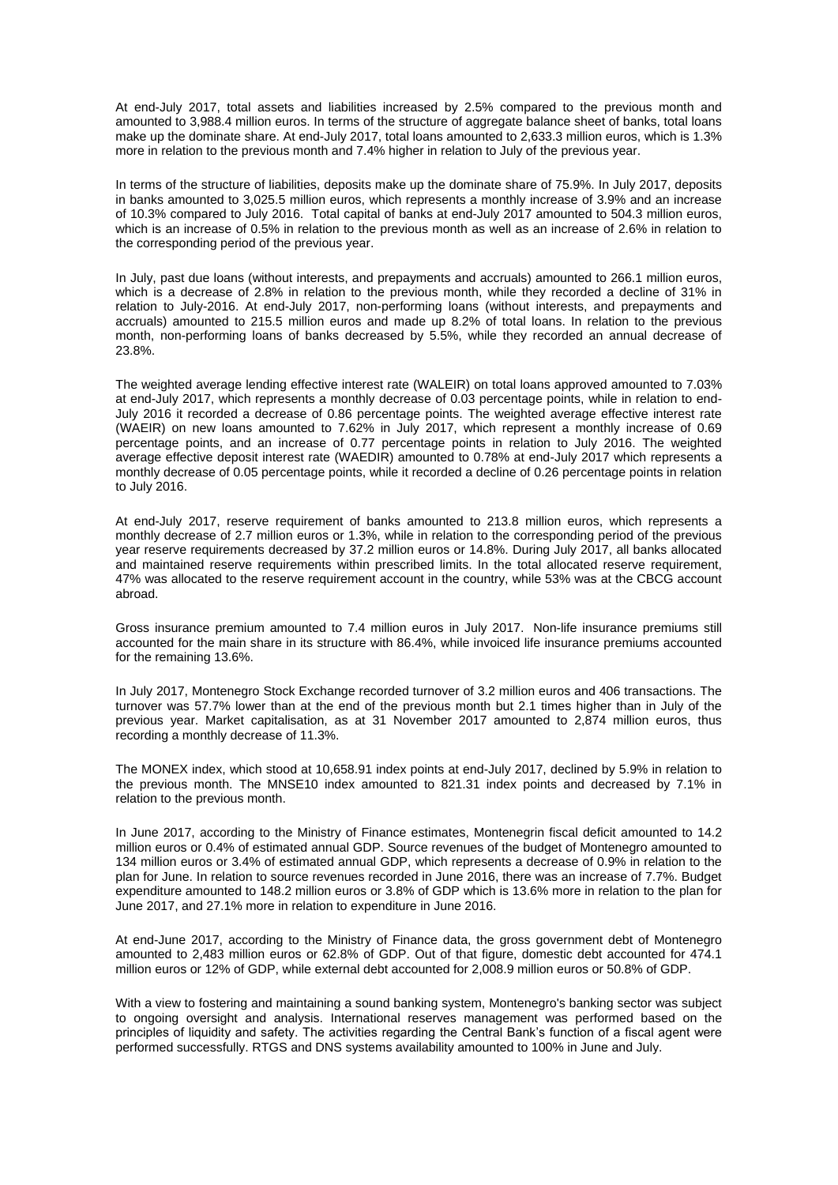At end-July 2017, total assets and liabilities increased by 2.5% compared to the previous month and amounted to 3,988.4 million euros. In terms of the structure of aggregate balance sheet of banks, total loans make up the dominate share. At end-July 2017, total loans amounted to 2,633.3 million euros, which is 1.3% more in relation to the previous month and 7.4% higher in relation to July of the previous year.

In terms of the structure of liabilities, deposits make up the dominate share of 75.9%. In July 2017, deposits in banks amounted to 3,025.5 million euros, which represents a monthly increase of 3.9% and an increase of 10.3% compared to July 2016. Total capital of banks at end-July 2017 amounted to 504.3 million euros, which is an increase of 0.5% in relation to the previous month as well as an increase of 2.6% in relation to the corresponding period of the previous year.

In July, past due loans (without interests, and prepayments and accruals) amounted to 266.1 million euros, which is a decrease of 2.8% in relation to the previous month, while they recorded a decline of 31% in relation to July-2016. At end-July 2017, non-performing loans (without interests, and prepayments and accruals) amounted to 215.5 million euros and made up 8.2% of total loans. In relation to the previous month, non-performing loans of banks decreased by 5.5%, while they recorded an annual decrease of 23.8%.

The weighted average lending effective interest rate (WALEIR) on total loans approved amounted to 7.03% at end-July 2017, which represents a monthly decrease of 0.03 percentage points, while in relation to end-July 2016 it recorded a decrease of 0.86 percentage points. The weighted average effective interest rate (WAEIR) on new loans amounted to 7.62% in July 2017, which represent a monthly increase of 0.69 percentage points, and an increase of 0.77 percentage points in relation to July 2016. The weighted average effective deposit interest rate (WAEDIR) amounted to 0.78% at end-July 2017 which represents a monthly decrease of 0.05 percentage points, while it recorded a decline of 0.26 percentage points in relation to July 2016.

At end-July 2017, reserve requirement of banks amounted to 213.8 million euros, which represents a monthly decrease of 2.7 million euros or 1.3%, while in relation to the corresponding period of the previous year reserve requirements decreased by 37.2 million euros or 14.8%. During July 2017, all banks allocated and maintained reserve requirements within prescribed limits. In the total allocated reserve requirement, 47% was allocated to the reserve requirement account in the country, while 53% was at the CBCG account abroad.

Gross insurance premium amounted to 7.4 million euros in July 2017. Non-life insurance premiums still accounted for the main share in its structure with 86.4%, while invoiced life insurance premiums accounted for the remaining 13.6%.

In July 2017, Montenegro Stock Exchange recorded turnover of 3.2 million euros and 406 transactions. The turnover was 57.7% lower than at the end of the previous month but 2.1 times higher than in July of the previous year. Market capitalisation, as at 31 November 2017 amounted to 2,874 million euros, thus recording a monthly decrease of 11.3%.

The MONEX index, which stood at 10,658.91 index points at end-July 2017, declined by 5.9% in relation to the previous month. The MNSE10 index amounted to 821.31 index points and decreased by 7.1% in relation to the previous month.

In June 2017, according to the Ministry of Finance estimates, Montenegrin fiscal deficit amounted to 14.2 million euros or 0.4% of estimated annual GDP. Source revenues of the budget of Montenegro amounted to 134 million euros or 3.4% of estimated annual GDP, which represents a decrease of 0.9% in relation to the plan for June. In relation to source revenues recorded in June 2016, there was an increase of 7.7%. Budget expenditure amounted to 148.2 million euros or 3.8% of GDP which is 13.6% more in relation to the plan for June 2017, and 27.1% more in relation to expenditure in June 2016.

At end-June 2017, according to the Ministry of Finance data, the gross government debt of Montenegro amounted to 2,483 million euros or 62.8% of GDP. Out of that figure, domestic debt accounted for 474.1 million euros or 12% of GDP, while external debt accounted for 2,008.9 million euros or 50.8% of GDP.

With a view to fostering and maintaining a sound banking system, Montenegro's banking sector was subject to ongoing oversight and analysis. International reserves management was performed based on the principles of liquidity and safety. The activities regarding the Central Bank's function of a fiscal agent were performed successfully. RTGS and DNS systems availability amounted to 100% in June and July.